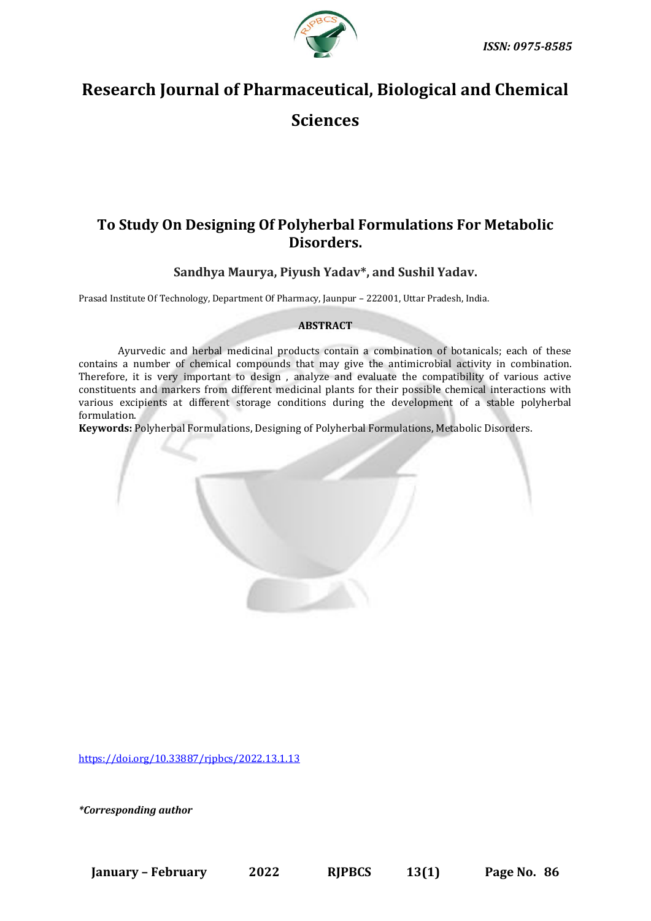

# **Research Journal of Pharmaceutical, Biological and Chemical**

**Sciences**

# **To Study On Designing Of Polyherbal Formulations For Metabolic Disorders.**

**Sandhya Maurya, Piyush Yadav\*, and Sushil Yadav.**

Prasad Institute Of Technology, Department Of Pharmacy, Jaunpur – 222001, Uttar Pradesh, India.

# **ABSTRACT**

Ayurvedic and herbal medicinal products contain a combination of botanicals; each of these contains a number of chemical compounds that may give the antimicrobial activity in combination. Therefore, it is very important to design , analyze and evaluate the compatibility of various active constituents and markers from different medicinal plants for their possible chemical interactions with various excipients at different storage conditions during the development of a stable polyherbal formulation.

**Keywords:** Polyherbal Formulations, Designing of Polyherbal Formulations, Metabolic Disorders.

[https://doi.org/10.33887/rjpbcs/2022.13.1.13](https://doi.org/10.33887/rjpbcs/2022.13.1.1)

*\*Corresponding author*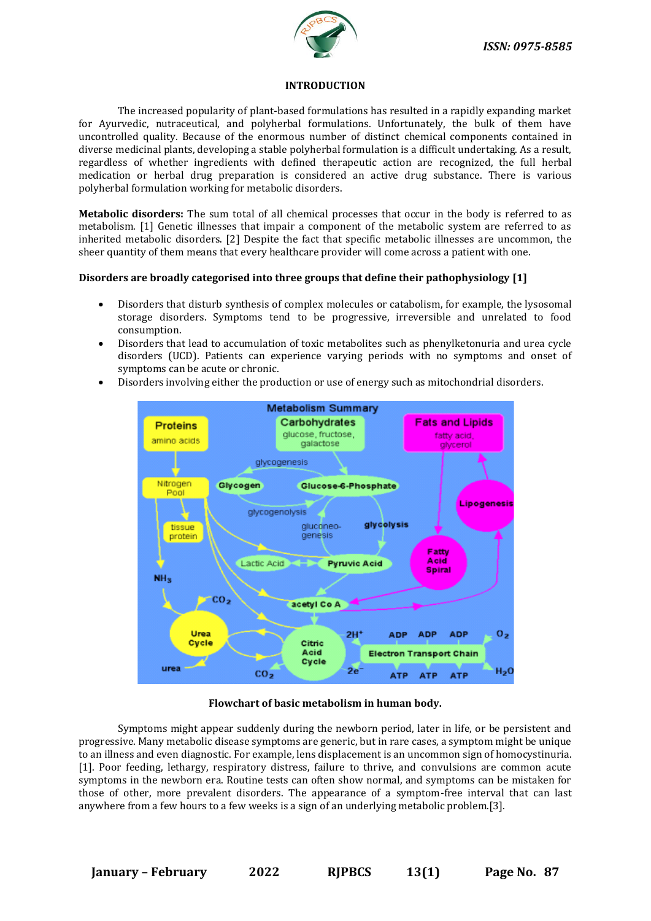

#### **INTRODUCTION**

The increased popularity of plant-based formulations has resulted in a rapidly expanding market for Ayurvedic, nutraceutical, and polyherbal formulations. Unfortunately, the bulk of them have uncontrolled quality. Because of the enormous number of distinct chemical components contained in diverse medicinal plants, developing a stable polyherbal formulation is a difficult undertaking. As a result, regardless of whether ingredients with defined therapeutic action are recognized, the full herbal medication or herbal drug preparation is considered an active drug substance. There is various polyherbal formulation working for metabolic disorders.

**Metabolic disorders:** The sum total of all chemical processes that occur in the body is referred to as metabolism. [1] Genetic illnesses that impair a component of the metabolic system are referred to as inherited metabolic disorders. [2] Despite the fact that specific metabolic illnesses are uncommon, the sheer quantity of them means that every healthcare provider will come across a patient with one.

#### **Disorders are broadly categorised into three groups that define their pathophysiology [1]**

- Disorders that disturb synthesis of complex molecules or catabolism, for example, the lysosomal storage disorders. Symptoms tend to be progressive, irreversible and unrelated to food consumption.
- Disorders that lead to accumulation of toxic metabolites such as phenylketonuria and urea cycle disorders (UCD). Patients can experience varying periods with no symptoms and onset of symptoms can be acute or chronic.
- Disorders involving either the production or use of energy such as mitochondrial disorders.



#### **Flowchart of basic metabolism in human body.**

Symptoms might appear suddenly during the newborn period, later in life, or be persistent and progressive. Many metabolic disease symptoms are generic, but in rare cases, a symptom might be unique to an illness and even diagnostic. For example, lens displacement is an uncommon sign of homocystinuria. [1]. Poor feeding, lethargy, respiratory distress, failure to thrive, and convulsions are common acute symptoms in the newborn era. Routine tests can often show normal, and symptoms can be mistaken for those of other, more prevalent disorders. The appearance of a symptom-free interval that can last anywhere from a few hours to a few weeks is a sign of an underlying metabolic problem.[3].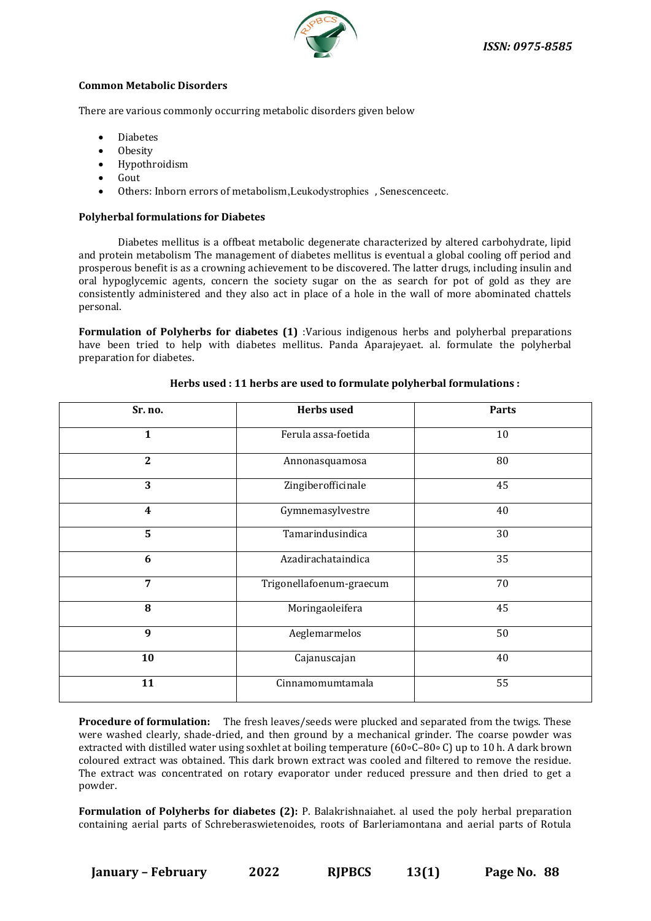

#### **Common Metabolic Disorders**

There are various commonly occurring metabolic disorders given below

- **Diabetes**
- Obesity
- Hypothroidism
- Gout
- Others: Inborn errors of metabolism,Leukodystrophies , Senescenceetc.

### **Polyherbal formulations for Diabetes**

Diabetes mellitus is a offbeat metabolic degenerate characterized by altered carbohydrate, lipid and protein metabolism The management of diabetes mellitus is eventual a global cooling off period and prosperous benefit is as a crowning achievement to be discovered. The latter drugs, including insulin and oral hypoglycemic agents, concern the society sugar on the as search for pot of gold as they are consistently administered and they also act in place of a hole in the wall of more abominated chattels personal.

**Formulation of Polyherbs for diabetes (1)** :Various indigenous herbs and polyherbal preparations have been tried to help with diabetes mellitus. Panda Aparajeyaet. al. formulate the polyherbal preparation for diabetes.

| Sr. no.          | <b>Herbs</b> used        | <b>Parts</b> |
|------------------|--------------------------|--------------|
| 1                | Ferula assa-foetida      | 10           |
| $\boldsymbol{2}$ | Annonasquamosa           | 80           |
| 3                | Zingiberofficinale       | 45           |
| 4                | Gymnemasylvestre         | 40           |
| 5                | Tamarindusindica         | 30           |
| 6                | Azadirachataindica       | 35           |
| 7                | Trigonellafoenum-graecum | 70           |
| 8                | Moringaoleifera          | 45           |
| 9                | Aeglemarmelos            | 50           |
| 10               | Cajanuscajan             | 40           |
| 11               | Cinnamomumtamala         | 55           |

#### **Herbs used : 11 herbs are used to formulate polyherbal formulations :**

**Procedure of formulation:** The fresh leaves/seeds were plucked and separated from the twigs. These were washed clearly, shade-dried, and then ground by a mechanical grinder. The coarse powder was extracted with distilled water using soxhlet at boiling temperature (60∘C–80∘ C) up to 10 h. A dark brown coloured extract was obtained. This dark brown extract was cooled and filtered to remove the residue. The extract was concentrated on rotary evaporator under reduced pressure and then dried to get a powder.

**Formulation of Polyherbs for diabetes (2):** P. Balakrishnaiahet. al used the poly herbal preparation containing aerial parts of Schreberaswietenoides, roots of Barleriamontana and aerial parts of Rotula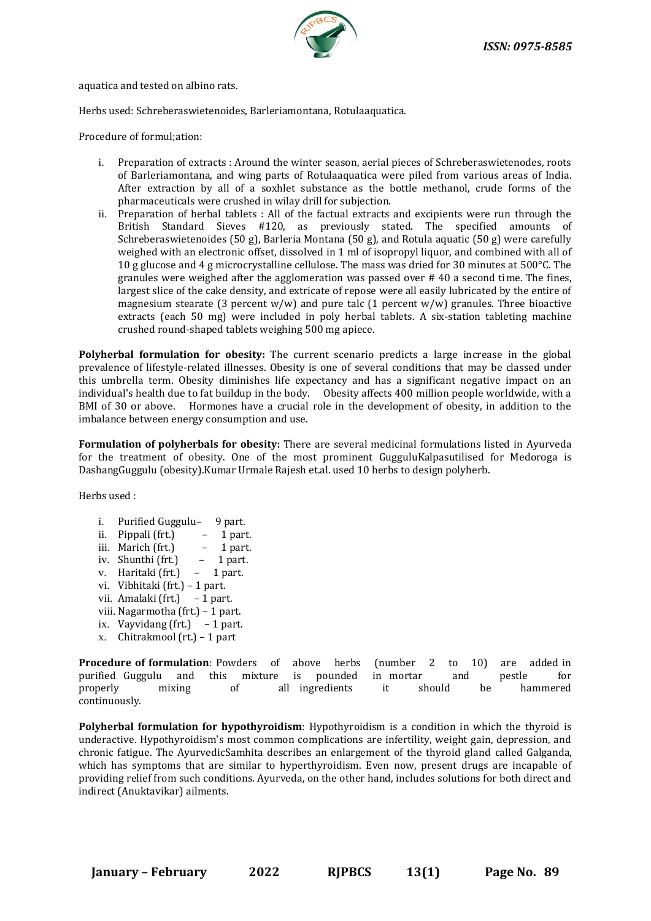

aquatica and tested on albino rats.

Herbs used: Schreberaswietenoides, Barleriamontana, Rotulaaquatica.

Procedure of formul;ation:

- i. Preparation of extracts : Around the winter season, aerial pieces of Schreberaswietenodes, roots of Barleriamontana, and wing parts of Rotulaaquatica were piled from various areas of India. After extraction by all of a soxhlet substance as the bottle methanol, crude forms of the pharmaceuticals were crushed in wilay drill for subjection.
- ii. Preparation of herbal tablets : All of the factual extracts and excipients were run through the British Standard Sieves #120, as previously stated. The specified amounts of Schreberaswietenoides (50 g), Barleria Montana (50 g), and Rotula aquatic (50 g) were carefully weighed with an electronic offset, dissolved in 1 ml of isopropyl liquor, and combined with all of 10 g glucose and 4 g microcrystalline cellulose. The mass was dried for 30 minutes at 500°C. The granules were weighed after the agglomeration was passed over # 40 a second time. The fines, largest slice of the cake density, and extricate of repose were all easily lubricated by the entire of magnesium stearate (3 percent w/w) and pure talc (1 percent w/w) granules. Three bioactive extracts (each 50 mg) were included in poly herbal tablets. A six-station tableting machine crushed round-shaped tablets weighing 500 mg apiece.

**Polyherbal formulation for obesity:** The current scenario predicts a large increase in the global prevalence of lifestyle-related illnesses. Obesity is one of several conditions that may be classed under this umbrella term. Obesity diminishes life expectancy and has a significant negative impact on an individual's health due to fat buildup in the body. Obesity affects 400 million people worldwide, with a BMI of 30 or above. Hormones have a crucial role in the development of obesity, in addition to the imbalance between energy consumption and use.

**Formulation of polyherbals for obesity:** There are several medicinal formulations listed in Ayurveda for the treatment of obesity. One of the most prominent GugguluKalpasutilised for Medoroga is DashangGuggulu (obesity).Kumar Urmale Rajesh et.al. used 10 herbs to design polyherb.

Herbs used :

- i. Purified Guggulu– 9 part.
- ii. Pippali (frt.)  $-1$  part.
- iii. Marich (frt.) 1 part.
- iv. Shunthi (frt.) 1 part.
- v. Haritaki (frt.) 1 part.
- vi. Vibhitaki (frt.) 1 part.
- vii. Amalaki (frt.) 1 part.
- viii. Nagarmotha (frt.) 1 part.
- ix. Vayvidang (frt.)  $-1$  part.
- x. Chitrakmool (rt.) 1 part
- **Procedure of formulation**: Powders of above herbs (number 2 to 10) are added in purified Guggulu and this mixture is pounded in mortar and pestle for properly mixing of all ingredients it should be hammered continuously.

**Polyherbal formulation for hypothyroidism**: Hypothyroidism is a condition in which the thyroid is underactive. Hypothyroidism's most common complications are infertility, weight gain, depression, and chronic fatigue. The AyurvedicSamhita describes an enlargement of the thyroid gland called Galganda, which has symptoms that are similar to hyperthyroidism. Even now, present drugs are incapable of providing relief from such conditions. Ayurveda, on the other hand, includes solutions for both direct and indirect (Anuktavikar) ailments.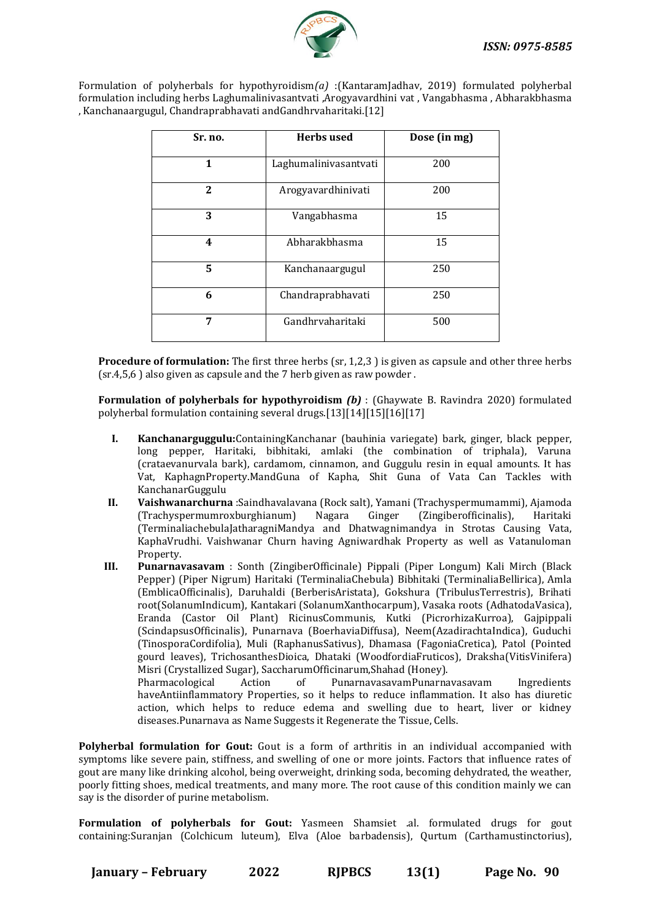

Formulation of polyherbals for hypothyroidism*(a)* :(KantaramJadhav, 2019) formulated polyherbal formulation including herbs Laghumalinivasantvati ,Arogyavardhini vat , Vangabhasma , Abharakbhasma , Kanchanaargugul, Chandraprabhavati andGandhrvaharitaki.[12]

| Sr. no.      | <b>Herbs</b> used     | Dose (in mg) |
|--------------|-----------------------|--------------|
| $\mathbf{1}$ | Laghumalinivasantvati | 200          |
| $\mathbf{2}$ | Arogyavardhinivati    | 200          |
| 3            | Vangabhasma           | 15           |
| 4            | Abharakbhasma         | 15           |
| 5            | Kanchanaargugul       | 250          |
| 6            | Chandraprabhavati     | 250          |
| 7            | Gandhrvaharitaki      | 500          |

**Procedure of formulation:** The first three herbs (sr, 1,2,3) is given as capsule and other three herbs (sr.4,5,6 ) also given as capsule and the 7 herb given as raw powder .

**Formulation of polyherbals for hypothyroidism** *(b)* : (Ghaywate B. Ravindra 2020) formulated polyherbal formulation containing several drugs.[13][14][15][16][17]

- **I. Kanchanarguggulu:**ContainingKanchanar (bauhinia variegate) bark, ginger, black pepper, long pepper, Haritaki, bibhitaki, amlaki (the combination of triphala), Varuna (crataevanurvala bark), cardamom, cinnamon, and Guggulu resin in equal amounts. It has Vat, KaphagnProperty.MandGuna of Kapha, Shit Guna of Vata Can Tackles with KanchanarGuggulu
- **II. Vaishwanarchurna** :Saindhavalavana (Rock salt), Yamani (Trachyspermumammi), Ajamoda (Trachyspermumroxburghianum) Nagara Ginger (Zingiberofficinalis), Haritaki (TerminaliachebulaJatharagniMandya and Dhatwagnimandya in Strotas Causing Vata, KaphaVrudhi. Vaishwanar Churn having Agniwardhak Property as well as Vatanuloman Property.
- **III. Punarnavasavam** : Sonth (ZingiberOfficinale) Pippali (Piper Longum) Kali Mirch (Black Pepper) (Piper Nigrum) Haritaki (TerminaliaChebula) Bibhitaki (TerminaliaBellirica), Amla (EmblicaOfficinalis), Daruhaldi (BerberisAristata), Gokshura (TribulusTerrestris), Brihati root(SolanumIndicum), Kantakari (SolanumXanthocarpum), Vasaka roots (AdhatodaVasica), Eranda (Castor Oil Plant) RicinusCommunis, Kutki (PicrorhizaKurroa), Gajpippali (ScindapsusOfficinalis), Punarnava (BoerhaviaDiffusa), Neem(AzadirachtaIndica), Guduchi (TinosporaCordifolia), Muli (RaphanusSativus), Dhamasa (FagoniaCretica), Patol (Pointed gourd leaves), TrichosanthesDioica, Dhataki (WoodfordiaFruticos), Draksha(VitisVinifera) Misri (Crystallized Sugar), SaccharumOfficinarum,Shahad (Honey). Pharmacological Action of PunarnavasavamPunarnavasavam Ingredients

haveAntiinflammatory Properties, so it helps to reduce inflammation. It also has diuretic action, which helps to reduce edema and swelling due to heart, liver or kidney diseases.Punarnava as Name Suggests it Regenerate the Tissue, Cells.

**Polyherbal formulation for Gout:** Gout is a form of arthritis in an individual accompanied with symptoms like severe pain, stiffness, and swelling of one or more joints. Factors that influence rates of gout are many like drinking alcohol, being overweight, drinking soda, becoming dehydrated, the weather, poorly fitting shoes, medical treatments, and many more. The root cause of this condition mainly we can say is the disorder of purine metabolism.

**Formulation of polyherbals for Gout:** Yasmeen Shamsiet .al. formulated drugs for gout containing:Suranjan (Colchicum luteum), Elva (Aloe barbadensis), Qurtum (Carthamustinctorius),